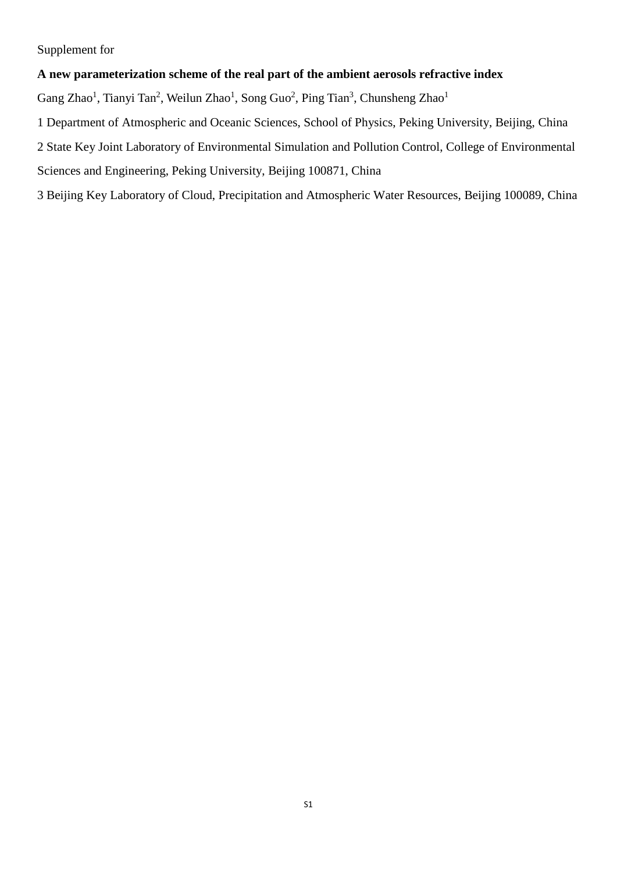Supplement for

# **A new parameterization scheme of the real part of the ambient aerosols refractive index**

Gang Zhao<sup>1</sup>, Tianyi Tan<sup>2</sup>, Weilun Zhao<sup>1</sup>, Song Guo<sup>2</sup>, Ping Tian<sup>3</sup>, Chunsheng Zhao<sup>1</sup>

1 Department of Atmospheric and Oceanic Sciences, School of Physics, Peking University, Beijing, China 2 State Key Joint Laboratory of Environmental Simulation and Pollution Control, College of Environmental Sciences and Engineering, Peking University, Beijing 100871, China

3 Beijing Key Laboratory of Cloud, Precipitation and Atmospheric Water Resources, Beijing 100089, China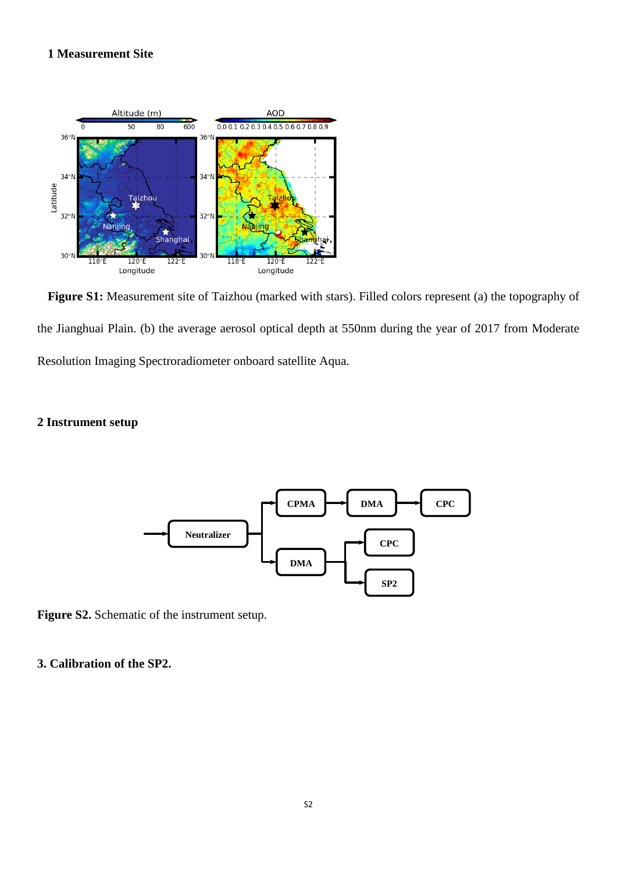# **1 Measurement Site**



**Figure S1:** Measurement site of Taizhou (marked with stars). Filled colors represent (a) the topography of the Jianghuai Plain. (b) the average aerosol optical depth at 550nm during the year of 2017 from Moderate Resolution Imaging Spectroradiometer onboard satellite Aqua.

### **2 Instrument setup**



**Figure S2.** Schematic of the instrument setup.

## **3. Calibration of the SP2.**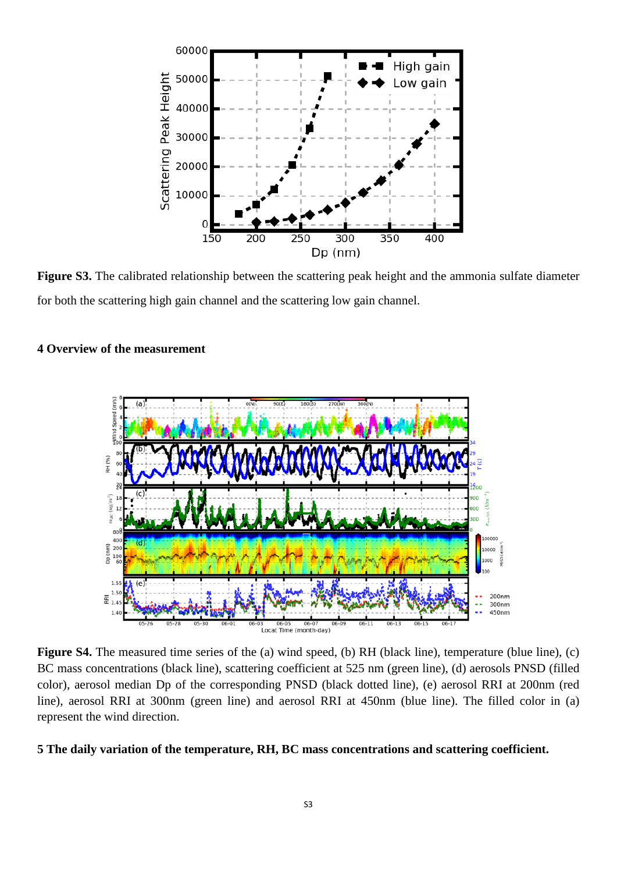

**Figure S3.** The calibrated relationship between the scattering peak height and the ammonia sulfate diameter for both the scattering high gain channel and the scattering low gain channel.

### **4 Overview of the measurement**



**Figure S4.** The measured time series of the (a) wind speed, (b) RH (black line), temperature (blue line), (c) BC mass concentrations (black line), scattering coefficient at 525 nm (green line), (d) aerosols PNSD (filled color), aerosol median Dp of the corresponding PNSD (black dotted line), (e) aerosol RRI at 200nm (red line), aerosol RRI at 300nm (green line) and aerosol RRI at 450nm (blue line). The filled color in (a) represent the wind direction.

### **5 The daily variation of the temperature, RH, BC mass concentrations and scattering coefficient.**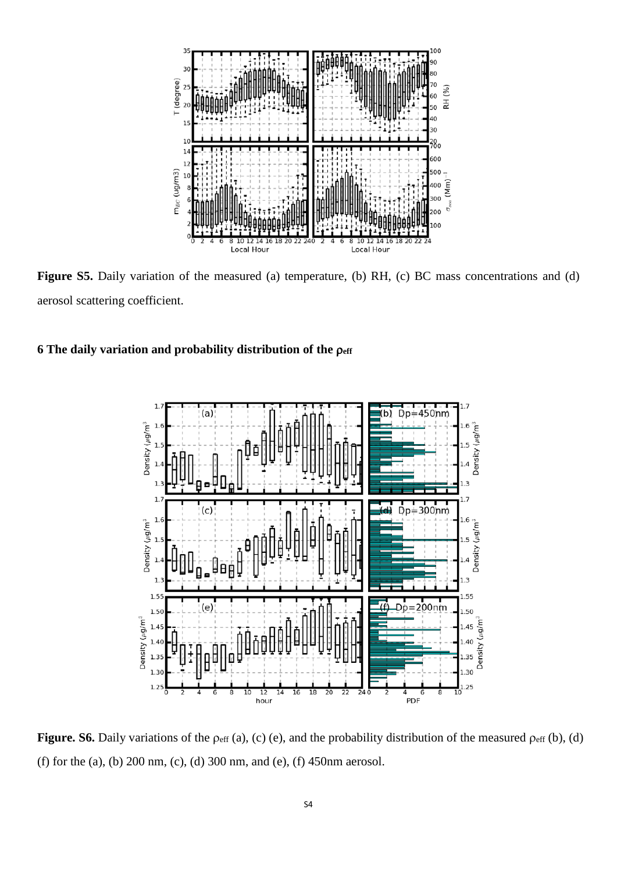

**Figure S5.** Daily variation of the measured (a) temperature, (b) RH, (c) BC mass concentrations and (d) aerosol scattering coefficient.





**Figure. S6.** Daily variations of the  $\rho_{\text{eff}}$  (a), (c) (e), and the probability distribution of the measured  $\rho_{\text{eff}}$  (b), (d) (f) for the (a), (b) 200 nm, (c), (d) 300 nm, and (e), (f) 450nm aerosol.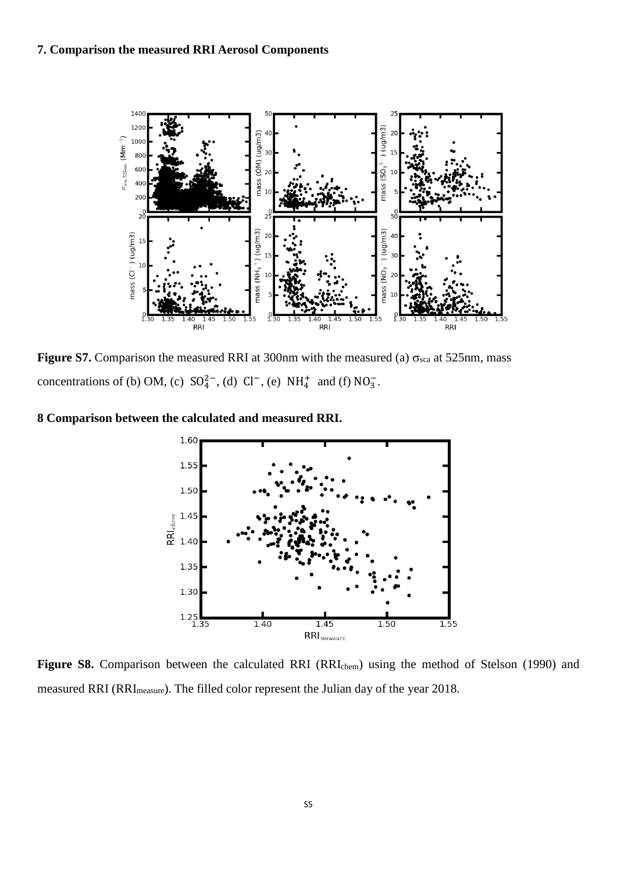#### **7. Comparison the measured RRI Aerosol Components**



**Figure S7.** Comparison the measured RRI at 300nm with the measured (a)  $\sigma_{\text{sea}}$  at 525nm, mass concentrations of (b) OM, (c)  $SO_4^{2-}$ , (d)  $Cl^-$ , (e)  $NH_4^+$  and (f)  $NO_3^-$ .

#### **8 Comparison between the calculated and measured RRI.**



Figure S8. Comparison between the calculated RRI (RRI<sub>chem</sub>) using the method of Stelson (1990) and measured RRI (RRI<sub>measure</sub>). The filled color represent the Julian day of the year 2018.